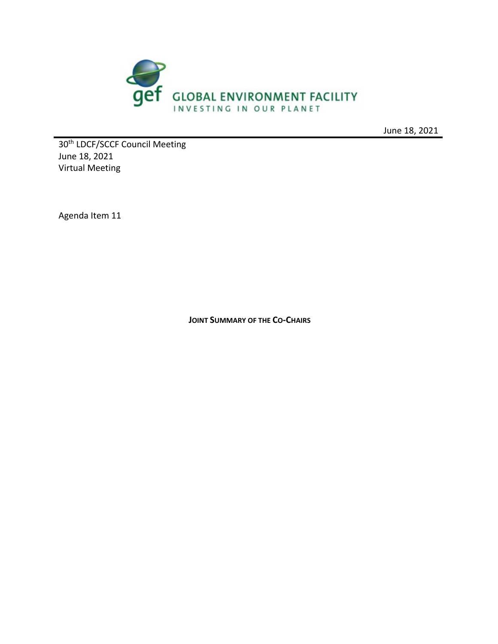

June 18, 2021

30th LDCF/SCCF Council Meeting June 18, 2021 Virtual Meeting

Agenda Item 11

**JOINT SUMMARY OF THE CO-CHAIRS**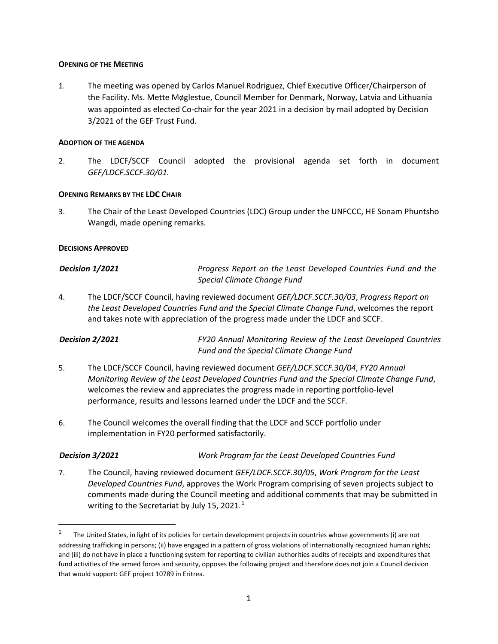#### **OPENING OF THE MEETING**

1. The meeting was opened by Carlos Manuel Rodriguez, Chief Executive Officer/Chairperson of the Facility. Ms. Mette Møglestue, Council Member for Denmark, Norway, Latvia and Lithuania was appointed as elected Co-chair for the year 2021 in a decision by mail adopted by Decision 3/2021 of the GEF Trust Fund.

### **ADOPTION OF THE AGENDA**

2. The LDCF/SCCF Council adopted the provisional agenda set forth in document *GEF/LDCF.SCCF.30/01.*

### **OPENING REMARKS BY THE LDC CHAIR**

3. The Chair of the Least Developed Countries (LDC) Group under the UNFCCC, HE Sonam Phuntsho Wangdi, made opening remarks.

### **DECISIONS APPROVED**

# *Decision 1/2021 Progress Report on the Least Developed Countries Fund and the Special Climate Change Fund*

4. The LDCF/SCCF Council, having reviewed document *GEF/LDCF.SCCF.30/03*, *Progress Report on the Least Developed Countries Fund and the Special Climate Change Fund*, welcomes the report and takes note with appreciation of the progress made under the LDCF and SCCF.

## *Decision 2/2021 FY20 Annual Monitoring Review of the Least Developed Countries Fund and the Special Climate Change Fund*

- 5. The LDCF/SCCF Council, having reviewed document *GEF/LDCF.SCCF.30/04*, *FY20 Annual Monitoring Review of the Least Developed Countries Fund and the Special Climate Change Fund*, welcomes the review and appreciates the progress made in reporting portfolio-level performance, results and lessons learned under the LDCF and the SCCF.
- 6. The Council welcomes the overall finding that the LDCF and SCCF portfolio under implementation in FY20 performed satisfactorily.

*Decision 3/2021 Work Program for the Least Developed Countries Fund*

7. The Council, having reviewed document *GEF/LDCF.SCCF.30/05*, *Work Program for the Least Developed Countries Fund*, approves the Work Program comprising of seven projects subject to comments made during the Council meeting and additional comments that may be submitted in writing to the Secretariat by July [1](#page-1-0)5, 2021. $1$ 

<span id="page-1-0"></span><sup>1</sup> The United States, in light of its policies for certain development projects in countries whose governments (i) are not addressing trafficking in persons; (ii) have engaged in a pattern of gross violations of internationally recognized human rights; and (iii) do not have in place a functioning system for reporting to civilian authorities audits of receipts and expenditures that fund activities of the armed forces and security, opposes the following project and therefore does not join a Council decision that would support: GEF project 10789 in Eritrea.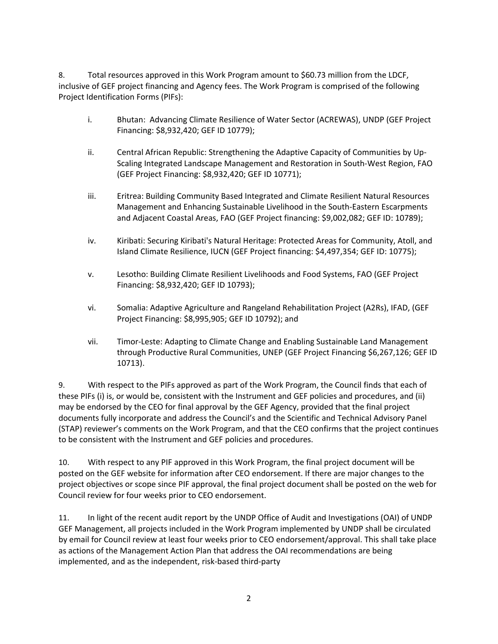8. Total resources approved in this Work Program amount to \$60.73 million from the LDCF, inclusive of GEF project financing and Agency fees. The Work Program is comprised of the following Project Identification Forms (PIFs):

- i. Bhutan: Advancing Climate Resilience of Water Sector (ACREWAS), UNDP (GEF Project Financing: \$8,932,420; GEF ID 10779);
- ii. Central African Republic: Strengthening the Adaptive Capacity of Communities by Up-Scaling Integrated Landscape Management and Restoration in South-West Region, FAO (GEF Project Financing: \$8,932,420; GEF ID 10771);
- iii. Eritrea: Building Community Based Integrated and Climate Resilient Natural Resources Management and Enhancing Sustainable Livelihood in the South-Eastern Escarpments and Adjacent Coastal Areas, FAO (GEF Project financing: \$9,002,082; GEF ID: 10789);
- iv. Kiribati: Securing Kiribati's Natural Heritage: Protected Areas for Community, Atoll, and Island Climate Resilience, IUCN (GEF Project financing: \$4,497,354; GEF ID: 10775);
- v. Lesotho: Building Climate Resilient Livelihoods and Food Systems, FAO (GEF Project Financing: \$8,932,420; GEF ID 10793);
- vi. Somalia: Adaptive Agriculture and Rangeland Rehabilitation Project (A2Rs), IFAD, (GEF Project Financing: \$8,995,905; GEF ID 10792); and
- vii. Timor-Leste: Adapting to Climate Change and Enabling Sustainable Land Management through Productive Rural Communities, UNEP (GEF Project Financing \$6,267,126; GEF ID 10713).

9. With respect to the PIFs approved as part of the Work Program, the Council finds that each of these PIFs (i) is, or would be, consistent with the Instrument and GEF policies and procedures, and (ii) may be endorsed by the CEO for final approval by the GEF Agency, provided that the final project documents fully incorporate and address the Council's and the Scientific and Technical Advisory Panel (STAP) reviewer's comments on the Work Program, and that the CEO confirms that the project continues to be consistent with the Instrument and GEF policies and procedures.

10. With respect to any PIF approved in this Work Program, the final project document will be posted on the GEF website for information after CEO endorsement. If there are major changes to the project objectives or scope since PIF approval, the final project document shall be posted on the web for Council review for four weeks prior to CEO endorsement.

11. In light of the recent audit report by the UNDP Office of Audit and Investigations (OAI) of UNDP GEF Management, all projects included in the Work Program implemented by UNDP shall be circulated by email for Council review at least four weeks prior to CEO endorsement/approval. This shall take place as actions of the Management Action Plan that address the OAI recommendations are being implemented, and as the independent, risk-based third-party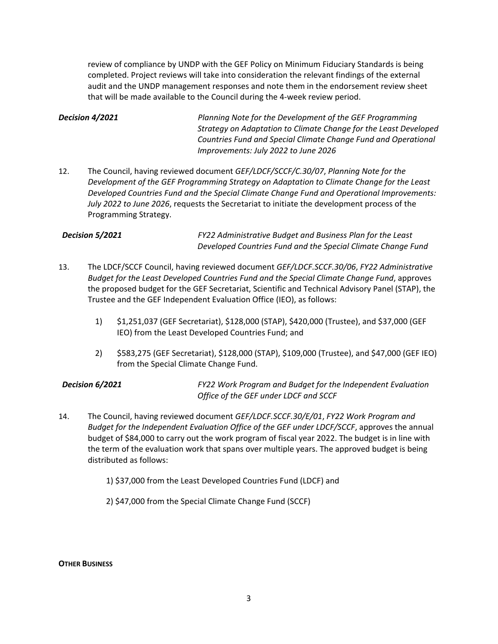review of compliance by UNDP with the GEF Policy on Minimum Fiduciary Standards is being completed. Project reviews will take into consideration the relevant findings of the external audit and the UNDP management responses and note them in the endorsement review sheet that will be made available to the Council during the 4-week review period.

*Decision 4/2021**Planning Note for the Development of the GEF Programming Strategy on Adaptation to Climate Change for the Least Developed Countries Fund and Special Climate Change Fund and Operational Improvements: July 2022 to June 2026*

12. The Council, having reviewed document *GEF/LDCF/SCCF/C.30/07*, *Planning Note for the Development of the GEF Programming Strategy on Adaptation to Climate Change for the Least Developed Countries Fund and the Special Climate Change Fund and Operational Improvements: July 2022 to June 2026*, requests the Secretariat to initiate the development process of the Programming Strategy.

*Decision 5/2021**FY22 Administrative Budget and Business Plan for the Least Developed Countries Fund and the Special Climate Change Fund*

- 13. The LDCF/SCCF Council, having reviewed document *GEF/LDCF.SCCF.30/06*, *FY22 Administrative Budget for the Least Developed Countries Fund and the Special Climate Change Fund*, approves the proposed budget for the GEF Secretariat, Scientific and Technical Advisory Panel (STAP), the Trustee and the GEF Independent Evaluation Office (IEO), as follows:
	- 1) \$1,251,037 (GEF Secretariat), \$128,000 (STAP), \$420,000 (Trustee), and \$37,000 (GEF IEO) from the Least Developed Countries Fund; and
	- 2) \$583,275 (GEF Secretariat), \$128,000 (STAP), \$109,000 (Trustee), and \$47,000 (GEF IEO) from the Special Climate Change Fund.

# *Decision 6/2021 FY22 Work Program and Budget for the Independent Evaluation Office of the GEF under LDCF and SCCF*

- 14. The Council, having reviewed document *GEF/LDCF.SCCF.30/E/01*, *FY22 Work Program and Budget for the Independent Evaluation Office of the GEF under LDCF/SCCF*, approves the annual budget of \$84,000 to carry out the work program of fiscal year 2022. The budget is in line with the term of the evaluation work that spans over multiple years. The approved budget is being distributed as follows:
	- 1) \$37,000 from the Least Developed Countries Fund (LDCF) and
	- 2) \$47,000 from the Special Climate Change Fund (SCCF)

#### **OTHER BUSINESS**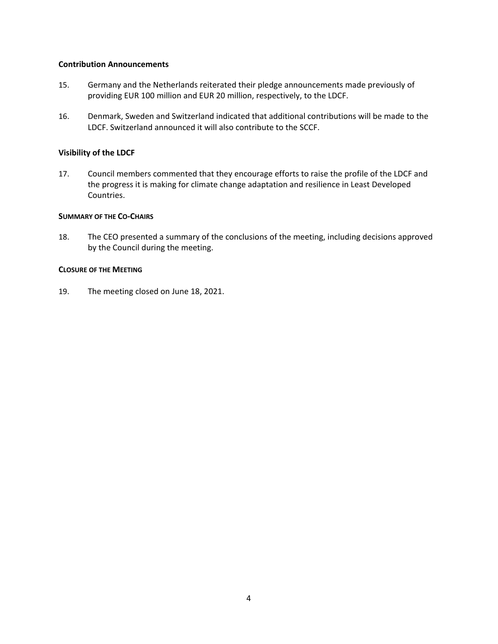### **Contribution Announcements**

- 15. Germany and the Netherlands reiterated their pledge announcements made previously of providing EUR 100 million and EUR 20 million, respectively, to the LDCF.
- 16. Denmark, Sweden and Switzerland indicated that additional contributions will be made to the LDCF. Switzerland announced it will also contribute to the SCCF.

### **Visibility of the LDCF**

17. Council members commented that they encourage efforts to raise the profile of the LDCF and the progress it is making for climate change adaptation and resilience in Least Developed Countries.

### **SUMMARY OF THE CO-CHAIRS**

18. The CEO presented a summary of the conclusions of the meeting, including decisions approved by the Council during the meeting.

### **CLOSURE OF THE MEETING**

19. The meeting closed on June 18, 2021.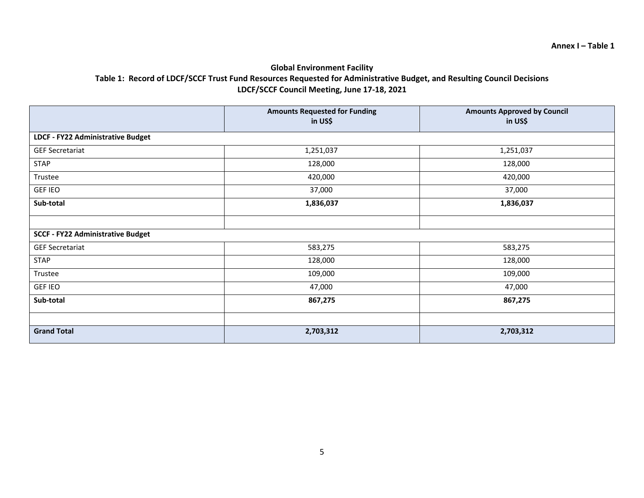## **Global Environment Facility Table 1: Record of LDCF/SCCF Trust Fund Resources Requested for Administrative Budget, and Resulting Council Decisions LDCF/SCCF Council Meeting, June 17-18, 2021**

|                                          | <b>Amounts Requested for Funding</b><br>in US\$ | <b>Amounts Approved by Council</b><br>in US\$ |
|------------------------------------------|-------------------------------------------------|-----------------------------------------------|
| LDCF - FY22 Administrative Budget        |                                                 |                                               |
| <b>GEF Secretariat</b>                   | 1,251,037                                       | 1,251,037                                     |
| <b>STAP</b>                              | 128,000                                         | 128,000                                       |
| Trustee                                  | 420,000                                         | 420,000                                       |
| <b>GEF IEO</b>                           | 37,000                                          | 37,000                                        |
| Sub-total                                | 1,836,037                                       | 1,836,037                                     |
|                                          |                                                 |                                               |
| <b>SCCF - FY22 Administrative Budget</b> |                                                 |                                               |
| <b>GEF Secretariat</b>                   | 583,275                                         | 583,275                                       |
| <b>STAP</b>                              | 128,000                                         | 128,000                                       |
| Trustee                                  | 109,000                                         | 109,000                                       |
| <b>GEF IEO</b>                           | 47,000                                          | 47,000                                        |
| Sub-total                                | 867,275                                         | 867,275                                       |
| <b>Grand Total</b>                       | 2,703,312                                       | 2,703,312                                     |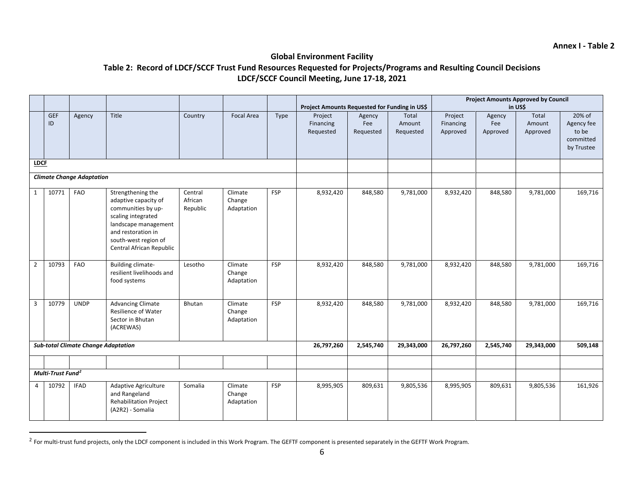## <span id="page-6-0"></span>**Global Environment Facility Table 2: Record of LDCF/SCCF Trust Fund Resources Requested for Projects/Programs and Resulting Council Decisions LDCF/SCCF Council Meeting, June 17-18, 2021**

|                |                               |                                            |                                                                                                                                                                                         |                                |                                 |            | Project Amounts Requested for Funding in US\$ |                            |                              |                                  | Project Amounts Approved by Council |                                        |                                                          |
|----------------|-------------------------------|--------------------------------------------|-----------------------------------------------------------------------------------------------------------------------------------------------------------------------------------------|--------------------------------|---------------------------------|------------|-----------------------------------------------|----------------------------|------------------------------|----------------------------------|-------------------------------------|----------------------------------------|----------------------------------------------------------|
|                | <b>GEF</b><br>ID              | Agency                                     | Title                                                                                                                                                                                   | Country                        | <b>Focal Area</b>               | Type       | Project<br>Financing<br>Requested             | Agency<br>Fee<br>Requested | Total<br>Amount<br>Requested | Project<br>Financing<br>Approved | Agency<br>Fee<br>Approved           | in US\$<br>Total<br>Amount<br>Approved | 20% of<br>Agency fee<br>to be<br>committed<br>by Trustee |
| <b>LDCF</b>    |                               |                                            |                                                                                                                                                                                         |                                |                                 |            |                                               |                            |                              |                                  |                                     |                                        |                                                          |
|                |                               | <b>Climate Change Adaptation</b>           |                                                                                                                                                                                         |                                |                                 |            |                                               |                            |                              |                                  |                                     |                                        |                                                          |
| $\mathbf{1}$   | 10771                         | <b>FAO</b>                                 | Strengthening the<br>adaptive capacity of<br>communities by up-<br>scaling integrated<br>landscape management<br>and restoration in<br>south-west region of<br>Central African Republic | Central<br>African<br>Republic | Climate<br>Change<br>Adaptation | <b>FSP</b> | 8,932,420                                     | 848,580                    | 9,781,000                    | 8,932,420                        | 848,580                             | 9,781,000                              | 169,716                                                  |
| $\overline{2}$ | 10793                         | FAO                                        | <b>Building climate-</b><br>resilient livelihoods and<br>food systems                                                                                                                   | Lesotho                        | Climate<br>Change<br>Adaptation | <b>FSP</b> | 8,932,420                                     | 848,580                    | 9,781,000                    | 8,932,420                        | 848,580                             | 9,781,000                              | 169,716                                                  |
| 3              | 10779                         | <b>UNDP</b>                                | <b>Advancing Climate</b><br>Resilience of Water<br>Sector in Bhutan<br>(ACREWAS)                                                                                                        | Bhutan                         | Climate<br>Change<br>Adaptation | <b>FSP</b> | 8,932,420                                     | 848,580                    | 9,781,000                    | 8,932,420                        | 848,580                             | 9,781,000                              | 169,716                                                  |
|                |                               | <b>Sub-total Climate Change Adaptation</b> |                                                                                                                                                                                         |                                |                                 |            | 26,797,260                                    | 2,545,740                  | 29,343,000                   | 26,797,260                       | 2,545,740                           | 29,343,000                             | 509,148                                                  |
|                |                               |                                            |                                                                                                                                                                                         |                                |                                 |            |                                               |                            |                              |                                  |                                     |                                        |                                                          |
|                | Multi-Trust Fund <sup>2</sup> |                                            |                                                                                                                                                                                         |                                |                                 |            |                                               |                            |                              |                                  |                                     |                                        |                                                          |
| 4              | 10792                         | <b>IFAD</b>                                | Adaptive Agriculture<br>and Rangeland<br><b>Rehabilitation Project</b><br>(A2R2) - Somalia                                                                                              | Somalia                        | Climate<br>Change<br>Adaptation | <b>FSP</b> | 8,995,905                                     | 809,631                    | 9,805,536                    | 8,995,905                        | 809,631                             | 9,805,536                              | 161,926                                                  |

<sup>&</sup>lt;sup>2</sup> For multi-trust fund projects, only the LDCF component is included in this Work Program. The GEFTF component is presented separately in the GEFTF Work Program.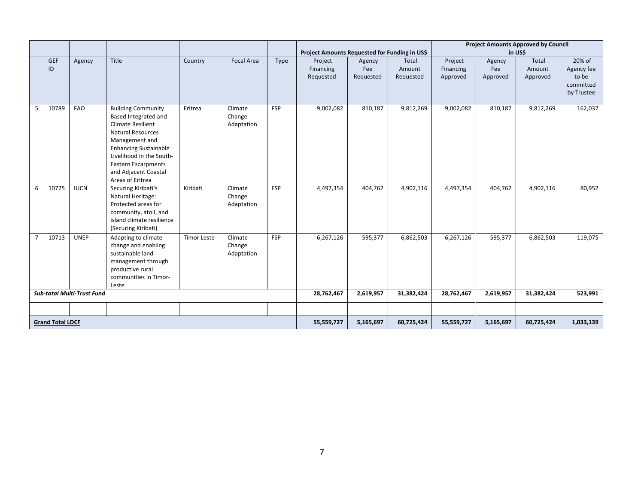|                |                            |             |                                                                                                                                                                                                                                                                   |                    |                                 |            |                                   |                                               |                              | <b>Project Amounts Approved by Council</b> |                           |                                    |                                                          |
|----------------|----------------------------|-------------|-------------------------------------------------------------------------------------------------------------------------------------------------------------------------------------------------------------------------------------------------------------------|--------------------|---------------------------------|------------|-----------------------------------|-----------------------------------------------|------------------------------|--------------------------------------------|---------------------------|------------------------------------|----------------------------------------------------------|
|                |                            |             |                                                                                                                                                                                                                                                                   |                    |                                 |            |                                   | Project Amounts Requested for Funding in US\$ |                              |                                            |                           | in US\$                            |                                                          |
|                | <b>GEF</b><br>ID           | Agency      | Title                                                                                                                                                                                                                                                             | Country            | <b>Focal Area</b>               | Type       | Project<br>Financing<br>Requested | Agency<br>Fee<br>Requested                    | Total<br>Amount<br>Requested | Project<br>Financing<br>Approved           | Agency<br>Fee<br>Approved | <b>Total</b><br>Amount<br>Approved | 20% of<br>Agency fee<br>to be<br>committed<br>by Trustee |
| 5              | 10789                      | <b>FAO</b>  | <b>Building Community</b><br>Based Integrated and<br><b>Climate Resilient</b><br><b>Natural Resources</b><br>Management and<br><b>Enhancing Sustainable</b><br>Livelihood in the South-<br><b>Eastern Escarpments</b><br>and Adjacent Coastal<br>Areas of Eritrea | Eritrea            | Climate<br>Change<br>Adaptation | <b>FSP</b> | 9,002,082                         | 810,187                                       | 9,812,269                    | 9,002,082                                  | 810,187                   | 9,812,269                          | 162,037                                                  |
| 6              | 10775                      | <b>IUCN</b> | Securing Kiribati's<br>Natural Heritage:<br>Protected areas for<br>community, atoll, and<br>island climate resilience<br>(Securing Kiribati)                                                                                                                      | Kiribati           | Climate<br>Change<br>Adaptation | <b>FSP</b> | 4,497,354                         | 404,762                                       | 4,902,116                    | 4,497,354                                  | 404,762                   | 4,902,116                          | 80,952                                                   |
| $\overline{7}$ | 10713                      | <b>UNEP</b> | Adapting to climate<br>change and enabling<br>sustainable land<br>management through<br>productive rural<br>communities in Timor-<br>Leste                                                                                                                        | <b>Timor Leste</b> | Climate<br>Change<br>Adaptation | <b>FSP</b> | 6,267,126                         | 595,377                                       | 6,862,503                    | 6,267,126                                  | 595,377                   | 6,862,503                          | 119,075                                                  |
|                | Sub-total Multi-Trust Fund |             | 28,762,467                                                                                                                                                                                                                                                        | 2,619,957          | 31,382,424                      | 28,762,467 | 2,619,957                         | 31,382,424                                    | 523,991                      |                                            |                           |                                    |                                                          |
|                |                            |             |                                                                                                                                                                                                                                                                   |                    |                                 |            |                                   |                                               |                              |                                            |                           |                                    |                                                          |
|                | <b>Grand Total LDCF</b>    |             |                                                                                                                                                                                                                                                                   |                    |                                 | 55,559,727 | 5,165,697                         | 60,725,424                                    | 55,559,727                   | 5,165,697                                  | 60,725,424                | 1,033,139                          |                                                          |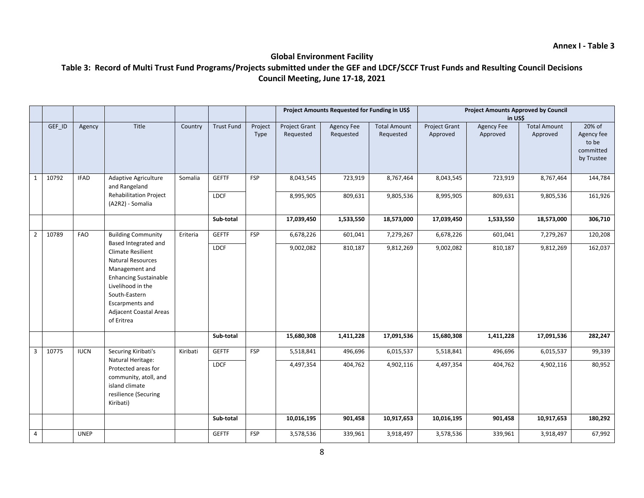## **Global Environment Facility**

## **Table 3: Record of Multi Trust Fund Programs/Projects submitted under the GEF and LDCF/SCCF Trust Funds and Resulting Council Decisions Council Meeting, June 17-18, 2021**

|                |        |             |                                                                                                                                                                                                                                                                     |          |                                   |                 | Project Amounts Requested for Funding in US\$ |                                 |                                      | <b>Project Amounts Approved by Council</b><br>in US\$ |                                 |                                      |                                                          |
|----------------|--------|-------------|---------------------------------------------------------------------------------------------------------------------------------------------------------------------------------------------------------------------------------------------------------------------|----------|-----------------------------------|-----------------|-----------------------------------------------|---------------------------------|--------------------------------------|-------------------------------------------------------|---------------------------------|--------------------------------------|----------------------------------------------------------|
|                | GEF_ID | Agency      | Title                                                                                                                                                                                                                                                               | Country  | <b>Trust Fund</b>                 | Project<br>Type | <b>Project Grant</b><br>Requested             | Agency Fee<br>Requested         | <b>Total Amount</b><br>Requested     | Project Grant<br>Approved                             | <b>Agency Fee</b><br>Approved   | <b>Total Amount</b><br>Approved      | 20% of<br>Agency fee<br>to be<br>committed<br>by Trustee |
| $\mathbf{1}$   | 10792  | <b>IFAD</b> | <b>Adaptive Agriculture</b><br>and Rangeland<br><b>Rehabilitation Project</b><br>(A2R2) - Somalia                                                                                                                                                                   | Somalia  | <b>GEFTF</b><br><b>LDCF</b>       | <b>FSP</b>      | 8,043,545<br>8,995,905                        | 723,919<br>809,631              | 8,767,464<br>9,805,536               | 8,043,545<br>8,995,905                                | 723,919<br>809,631              | 8,767,464<br>9,805,536               | 144,784<br>161,926                                       |
|                |        |             |                                                                                                                                                                                                                                                                     |          | Sub-total                         |                 | 17,039,450                                    | 1,533,550                       | 18,573,000                           | 17,039,450                                            | 1,533,550                       | 18,573,000                           | 306,710                                                  |
| $\overline{2}$ | 10789  | FAO         | <b>Building Community</b><br>Based Integrated and<br><b>Climate Resilient</b><br><b>Natural Resources</b><br>Management and<br><b>Enhancing Sustainable</b><br>Livelihood in the<br>South-Eastern<br>Escarpments and<br><b>Adjacent Coastal Areas</b><br>of Eritrea | Eriteria | <b>GEFTF</b><br>LDCF<br>Sub-total | <b>FSP</b>      | 6,678,226<br>9,002,082<br>15,680,308          | 601,041<br>810,187<br>1,411,228 | 7,279,267<br>9,812,269<br>17,091,536 | 6,678,226<br>9,002,082<br>15,680,308                  | 601,041<br>810,187<br>1,411,228 | 7,279,267<br>9,812,269<br>17,091,536 | 120,208<br>162,037<br>282,247                            |
| $\overline{3}$ | 10775  | <b>IUCN</b> | Securing Kiribati's<br>Natural Heritage:<br>Protected areas for<br>community, atoll, and<br>island climate<br>resilience (Securing<br>Kiribati)                                                                                                                     | Kiribati | <b>GEFTF</b><br>LDCF              | <b>FSP</b>      | 5,518,841<br>4,497,354                        | 496,696<br>404,762              | 6,015,537<br>4,902,116               | 5,518,841<br>4,497,354                                | 496,696<br>404,762              | 6,015,537<br>4,902,116               | 99,339<br>80,952                                         |
| $\overline{4}$ |        | <b>UNEP</b> |                                                                                                                                                                                                                                                                     |          | Sub-total                         | <b>FSP</b>      | 10,016,195                                    | 901,458                         | 10,917,653                           | 10,016,195                                            | 901,458                         | 10,917,653                           | 180,292<br>67,992                                        |
|                |        |             |                                                                                                                                                                                                                                                                     |          | <b>GEFTF</b>                      |                 | 3,578,536                                     | 339,961                         | 3,918,497                            | 3,578,536                                             | 339,961                         | 3,918,497                            |                                                          |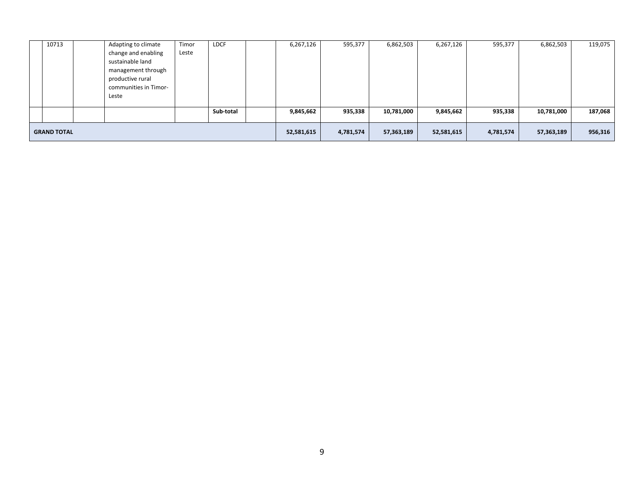| 10713              | Adapting to climate   | Timor | <b>LDCF</b> | 6,267,126  | 595,377   | 6,862,503  | 6,267,126  | 595,377   | 6,862,503  | 119,075 |
|--------------------|-----------------------|-------|-------------|------------|-----------|------------|------------|-----------|------------|---------|
|                    | change and enabling   | Leste |             |            |           |            |            |           |            |         |
|                    | sustainable land      |       |             |            |           |            |            |           |            |         |
|                    | management through    |       |             |            |           |            |            |           |            |         |
|                    | productive rural      |       |             |            |           |            |            |           |            |         |
|                    | communities in Timor- |       |             |            |           |            |            |           |            |         |
|                    | Leste                 |       |             |            |           |            |            |           |            |         |
|                    |                       |       |             |            |           |            |            |           |            |         |
|                    |                       |       | Sub-total   | 9,845,662  | 935,338   | 10,781,000 | 9,845,662  | 935,338   | 10,781,000 | 187,068 |
|                    |                       |       |             |            |           |            |            |           |            |         |
| <b>GRAND TOTAL</b> |                       |       |             | 52,581,615 | 4,781,574 | 57,363,189 | 52,581,615 | 4,781,574 | 57,363,189 | 956,316 |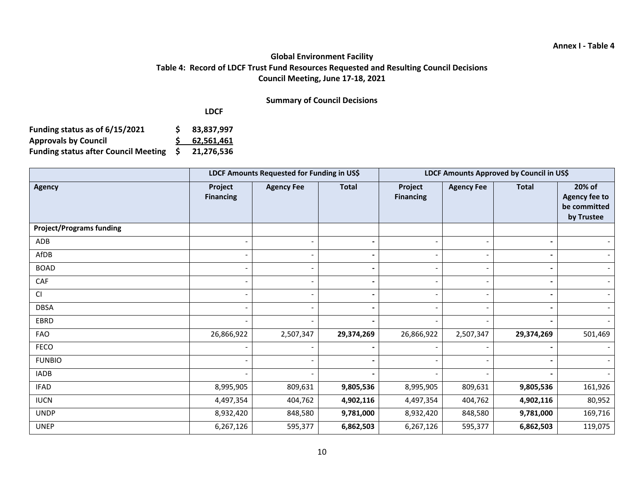#### **Annex I - Table 4**

## **Global Environment Facility Table 4: Record of LDCF Trust Fund Resources Requested and Resulting Council Decisions Council Meeting, June 17-18, 2021**

## **Summary of Council Decisions**

|                                             |    | <b>LDCF</b> |
|---------------------------------------------|----|-------------|
| Funding status as of 6/15/2021              |    | 83,837,997  |
| <b>Approvals by Council</b>                 |    | 62,561,461  |
| <b>Funding status after Council Meeting</b> | -S | 21,276,536  |

|                                 |                             | LDCF Amounts Requested for Funding in US\$ |              | LDCF Amounts Approved by Council in US\$ |                              |              |                                                              |  |  |
|---------------------------------|-----------------------------|--------------------------------------------|--------------|------------------------------------------|------------------------------|--------------|--------------------------------------------------------------|--|--|
| <b>Agency</b>                   | Project<br><b>Financing</b> | <b>Agency Fee</b>                          | <b>Total</b> | Project<br><b>Financing</b>              | <b>Agency Fee</b>            | <b>Total</b> | 20% of<br><b>Agency fee to</b><br>be committed<br>by Trustee |  |  |
| <b>Project/Programs funding</b> |                             |                                            |              |                                          |                              |              |                                                              |  |  |
| ADB                             |                             | $\overline{\phantom{0}}$                   |              | $\overline{\phantom{a}}$                 | $\overline{\phantom{a}}$     |              |                                                              |  |  |
| AfDB                            |                             |                                            | -            | $\overline{\phantom{a}}$                 | $\overline{\phantom{0}}$     |              |                                                              |  |  |
| <b>BOAD</b>                     |                             |                                            | -            | $\overline{\phantom{a}}$                 | $\overline{\phantom{a}}$     |              |                                                              |  |  |
| CAF                             |                             |                                            |              |                                          | $\overline{\phantom{0}}$     |              |                                                              |  |  |
| CI                              |                             |                                            |              |                                          | $\overline{\phantom{a}}$     |              |                                                              |  |  |
| <b>DBSA</b>                     |                             |                                            | Ξ.           |                                          | $\qquad \qquad \blacksquare$ |              |                                                              |  |  |
| EBRD                            |                             |                                            |              |                                          |                              |              |                                                              |  |  |
| FAO                             | 26,866,922                  | 2,507,347                                  | 29,374,269   | 26,866,922                               | 2,507,347                    | 29,374,269   | 501,469                                                      |  |  |
| <b>FECO</b>                     |                             |                                            |              |                                          |                              |              |                                                              |  |  |
| <b>FUNBIO</b>                   |                             |                                            |              |                                          | $\overline{\phantom{a}}$     |              |                                                              |  |  |
| <b>IADB</b>                     |                             |                                            |              |                                          | $\overline{\phantom{a}}$     |              |                                                              |  |  |
| <b>IFAD</b>                     | 8,995,905                   | 809,631                                    | 9,805,536    | 8,995,905                                | 809,631                      | 9,805,536    | 161,926                                                      |  |  |
| <b>IUCN</b>                     | 4,497,354                   | 404,762                                    | 4,902,116    | 4,497,354                                | 404,762                      | 4,902,116    | 80,952                                                       |  |  |
| <b>UNDP</b>                     | 8,932,420                   | 848,580                                    | 9,781,000    | 8,932,420                                | 848,580                      | 9,781,000    | 169,716                                                      |  |  |
| <b>UNEP</b>                     | 6,267,126                   | 595,377                                    | 6,862,503    | 6,267,126                                | 595,377                      | 6,862,503    | 119,075                                                      |  |  |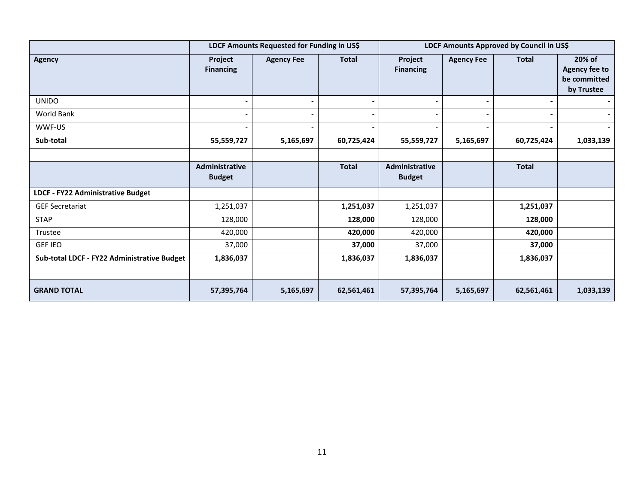|                                             |                                 | LDCF Amounts Requested for Funding in US\$ |                          | LDCF Amounts Approved by Council in US\$ |                   |              |                                                              |  |  |
|---------------------------------------------|---------------------------------|--------------------------------------------|--------------------------|------------------------------------------|-------------------|--------------|--------------------------------------------------------------|--|--|
| <b>Agency</b>                               | Project<br><b>Financing</b>     | <b>Agency Fee</b>                          | <b>Total</b>             | Project<br><b>Financing</b>              | <b>Agency Fee</b> | <b>Total</b> | 20% of<br><b>Agency fee to</b><br>be committed<br>by Trustee |  |  |
| <b>UNIDO</b>                                |                                 | $\overline{\phantom{a}}$                   | $\overline{\phantom{a}}$ | $\overline{\phantom{a}}$                 |                   |              |                                                              |  |  |
| World Bank                                  |                                 | $\overline{\phantom{a}}$                   |                          | -                                        |                   |              |                                                              |  |  |
| WWF-US                                      |                                 | $\overline{\phantom{a}}$                   |                          |                                          |                   |              |                                                              |  |  |
| Sub-total                                   | 55,559,727                      | 5,165,697                                  | 60,725,424               | 55,559,727                               | 5,165,697         | 60,725,424   | 1,033,139                                                    |  |  |
|                                             |                                 |                                            |                          |                                          |                   |              |                                                              |  |  |
|                                             | Administrative<br><b>Budget</b> |                                            | <b>Total</b>             | <b>Administrative</b><br><b>Budget</b>   |                   | <b>Total</b> |                                                              |  |  |
| LDCF - FY22 Administrative Budget           |                                 |                                            |                          |                                          |                   |              |                                                              |  |  |
| <b>GEF Secretariat</b>                      | 1,251,037                       |                                            | 1,251,037                | 1,251,037                                |                   | 1,251,037    |                                                              |  |  |
| <b>STAP</b>                                 | 128,000                         |                                            | 128,000                  | 128,000                                  |                   | 128,000      |                                                              |  |  |
| Trustee                                     | 420,000                         |                                            | 420,000                  | 420,000                                  |                   | 420,000      |                                                              |  |  |
| <b>GEF IEO</b>                              | 37,000                          |                                            | 37,000                   | 37,000                                   |                   | 37,000       |                                                              |  |  |
| Sub-total LDCF - FY22 Administrative Budget | 1,836,037                       |                                            | 1,836,037                | 1,836,037                                |                   | 1,836,037    |                                                              |  |  |
|                                             |                                 |                                            |                          |                                          |                   |              |                                                              |  |  |
| <b>GRAND TOTAL</b>                          | 57,395,764                      | 5,165,697                                  | 62,561,461               | 57,395,764                               | 5,165,697         | 62,561,461   | 1,033,139                                                    |  |  |